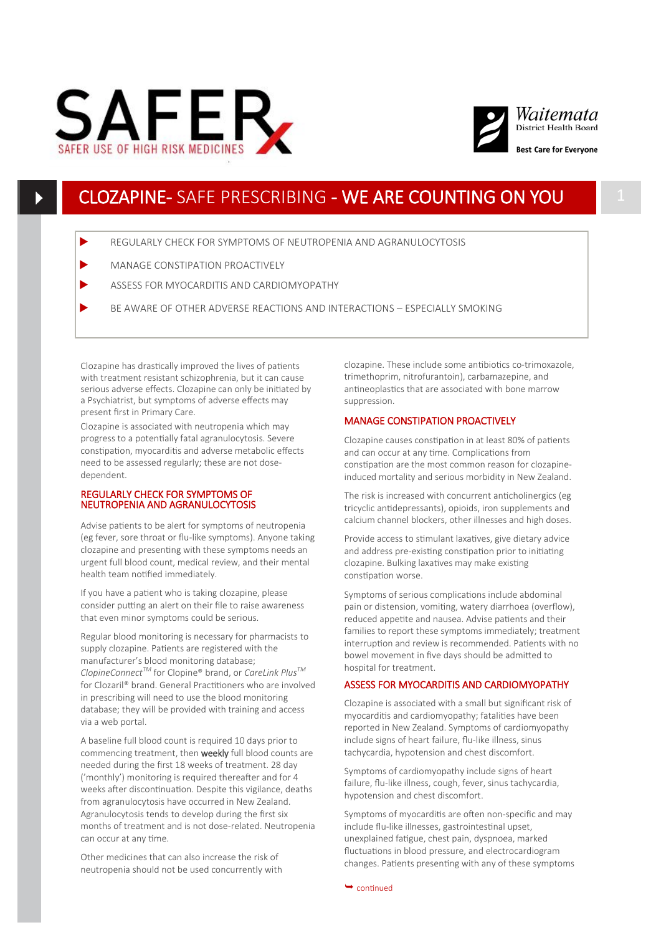



## CLOZAPINE- SAFE PRESCRIBING - WE ARE COUNTING ON YOU

- REGULARLY CHECK FOR SYMPTOMS OF NEUTROPENIA AND AGRANULOCYTOSIS
- MANAGE CONSTIPATION PROACTIVELY
- ASSESS FOR MYOCARDITIS AND CARDIOMYOPATHY
- BE AWARE OF OTHER ADVERSE REACTIONS AND INTERACTIONS ESPECIALLY SMOKING

Clozapine has drastically improved the lives of patients with treatment resistant schizophrenia, but it can cause serious adverse effects. Clozapine can only be initiated by a Psychiatrist, but symptoms of adverse effects may present first in Primary Care.

Clozapine is associated with neutropenia which may progress to a potentially fatal agranulocytosis. Severe constipation, myocarditis and adverse metabolic effects need to be assessed regularly; these are not dosedependent.

#### REGULARLY CHECK FOR SYMPTOMS OF NEUTROPENIA AND AGRANULOCYTOSIS

Advise patients to be alert for symptoms of neutropenia (eg fever, sore throat or flu-like symptoms). Anyone taking clozapine and presenting with these symptoms needs an urgent full blood count, medical review, and their mental health team notified immediately.

If you have a patient who is taking clozapine, please consider putting an alert on their file to raise awareness that even minor symptoms could be serious.

Regular blood monitoring is necessary for pharmacists to supply clozapine. Patients are registered with the manufacturer's blood monitoring database; *ClopineConnectTM* for Clopine® brand, or *CareLink PlusTM* for Clozaril® brand. General Practitioners who are involved in prescribing will need to use the blood monitoring database; they will be provided with training and access via a web portal.

A baseline full blood count is required 10 days prior to commencing treatment, then **weekly** full blood counts are needed during the first 18 weeks of treatment. 28 day ('monthly') monitoring is required thereafter and for 4 weeks after discontinuation. Despite this vigilance, deaths from agranulocytosis have occurred in New Zealand. Agranulocytosis tends to develop during the first six months of treatment and is not dose-related. Neutropenia can occur at any time.

Other medicines that can also increase the risk of neutropenia should not be used concurrently with clozapine. These include some antibiotics co-trimoxazole, trimethoprim, nitrofurantoin), carbamazepine, and antineoplastics that are associated with bone marrow suppression.

#### MANAGE CONSTIPATION PROACTIVELY

Clozapine causes constipation in at least 80% of patients and can occur at any time. Complications from constipation are the most common reason for clozapineinduced mortality and serious morbidity in New Zealand.

The risk is increased with concurrent anticholinergics (eg tricyclic antidepressants), opioids, iron supplements and calcium channel blockers, other illnesses and high doses.

Provide access to stimulant laxatives, give dietary advice and address pre-existing constipation prior to initiating clozapine. Bulking laxatives may make existing constipation worse.

Symptoms of serious complications include abdominal pain or distension, vomiting, watery diarrhoea (overflow), reduced appetite and nausea. Advise patients and their families to report these symptoms immediately; treatment interruption and review is recommended. Patients with no bowel movement in five days should be admitted to hospital for treatment.

### ASSESS FOR MYOCARDITIS AND CARDIOMYOPATHY

Clozapine is associated with a small but significant risk of myocarditis and cardiomyopathy; fatalities have been reported in New Zealand. Symptoms of cardiomyopathy include signs of heart failure, flu-like illness, sinus tachycardia, hypotension and chest discomfort.

Symptoms of cardiomyopathy include signs of heart failure, flu-like illness, cough, fever, sinus tachycardia, hypotension and chest discomfort.

Symptoms of myocarditis are often non-specific and may include flu-like illnesses, gastrointestinal upset, unexplained fatigue, chest pain, dyspnoea, marked fluctuations in blood pressure, and electrocardiogram changes. Patients presenting with any of these symptoms